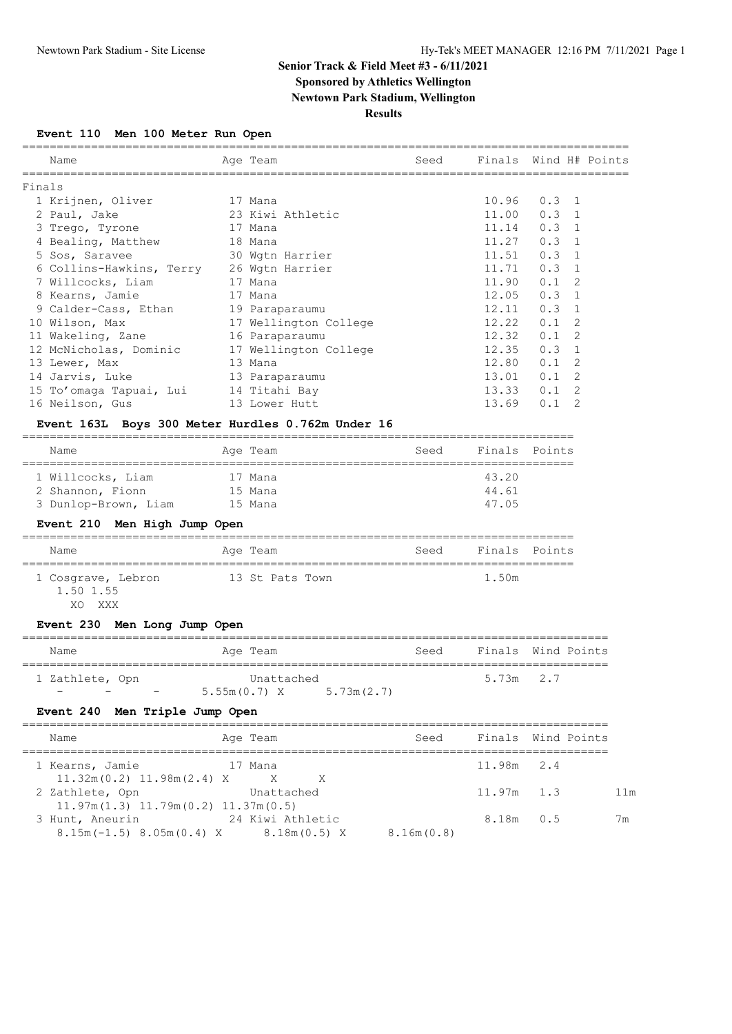# **Senior Track & Field Meet #3 - 6/11/2021**

# **Sponsored by Athletics Wellington**

**Newtown Park Stadium, Wellington**

### **Results**

**Event 110 Men 100 Meter Run Open**

|        | Name                                     | Age Team              | Seed | Finals Wind H# Points |               |   |  |
|--------|------------------------------------------|-----------------------|------|-----------------------|---------------|---|--|
| Finals |                                          |                       |      |                       |               |   |  |
|        | 1 Krijnen, Oliver                        | 17 Mana               |      | $10.96$ $0.3$ 1       |               |   |  |
|        | 2 Paul, Jake                             | 23 Kiwi Athletic      |      | 11.00                 | $0.3 \quad 1$ |   |  |
|        | 3 Trego, Tyrone                          | 17 Mana               |      | 11.14                 | $0.3 \quad 1$ |   |  |
|        | 4 Bealing, Matthew                       | 18 Mana               |      | 11.27                 | $0.3 \quad 1$ |   |  |
|        | 5 Sos, Saravee                           | 30 Wgtn Harrier       |      | 11.51                 | $0.3 \quad 1$ |   |  |
|        | 6 Collins-Hawkins, Terry 26 Wgtn Harrier |                       |      | 11.71                 | $0.3 \quad 1$ |   |  |
|        | 7 Willcocks, Liam                        | 17 Mana               |      | 11.90                 | $0.1 \quad 2$ |   |  |
|        | 8 Kearns, Jamie<br>17 Mana               |                       |      | 12.05                 | $0.3 \quad 1$ |   |  |
|        | 9 Calder-Cass, Ethan                     | 19 Paraparaumu        |      | 12.11                 | $0.3 \quad 1$ |   |  |
|        | 10 Wilson, Max                           | 17 Wellington College |      | 12.22                 | $0.1 \quad 2$ |   |  |
|        | 11 Wakeling, Zane                        | 16 Paraparaumu        |      | 12.32                 | $0.1 \quad 2$ |   |  |
|        | 12 McNicholas, Dominic                   | 17 Wellington College |      | 12.35                 | $0.3 \quad 1$ |   |  |
|        | 13 Lewer, Max                            | 13 Mana               |      | 12.80                 | $0.1 \quad 2$ |   |  |
|        | 14 Jarvis, Luke                          | 13 Paraparaumu        |      | 13.01                 | $0.1 \quad 2$ |   |  |
|        | 15 To'omaga Tapuai, Lui 14 Titahi Bay    |                       |      | 13.33                 | $0.1 \quad 2$ |   |  |
|        | 16 Neilson, Gus                          | 13 Lower Hutt         |      | 13.69                 | 0.1           | 2 |  |
|        |                                          |                       |      |                       |               |   |  |

#### **Event 163L Boys 300 Meter Hurdles 0.762m Under 16**

| Name                 | Age Team | Finals Points<br>Seed |  |  |  |  |  |  |
|----------------------|----------|-----------------------|--|--|--|--|--|--|
|                      |          |                       |  |  |  |  |  |  |
| 1 Willcocks, Liam    | 17 Mana  | 43.20                 |  |  |  |  |  |  |
| 2 Shannon, Fionn     | 15 Mana  | 44.61                 |  |  |  |  |  |  |
| 3 Dunlop-Brown, Liam | 15 Mana  | 47.05                 |  |  |  |  |  |  |

### **Event 210 Men High Jump Open**

| Name                            | Age Team        | Seed | Finals Points |  |  |  |  |  |
|---------------------------------|-----------------|------|---------------|--|--|--|--|--|
| 1 Cosgrave, Lebron<br>1.50 1.55 | 13 St Pats Town |      | 1.50m         |  |  |  |  |  |

XO XXX

### **Event 230 Men Long Jump Open**

| Name                          | Age Team                   | Seed | Finals Wind Points |  |  |  |  |  |
|-------------------------------|----------------------------|------|--------------------|--|--|--|--|--|
| 1 Zathlete, Opn               | Unattached                 |      | 5.73m 2.7          |  |  |  |  |  |
| $\overline{\phantom{0}}$<br>- | 5.73m(2.7)<br>5.55m(0.7) X |      |                    |  |  |  |  |  |

### **Event 240 Men Triple Jump Open**

| 11.98m 2.4   |                    |
|--------------|--------------------|
|              |                    |
| $11.97m$ 1.3 | 11m                |
|              |                    |
| 8.18m 0.5    | 7 <sub>m</sub>     |
|              | Finals Wind Points |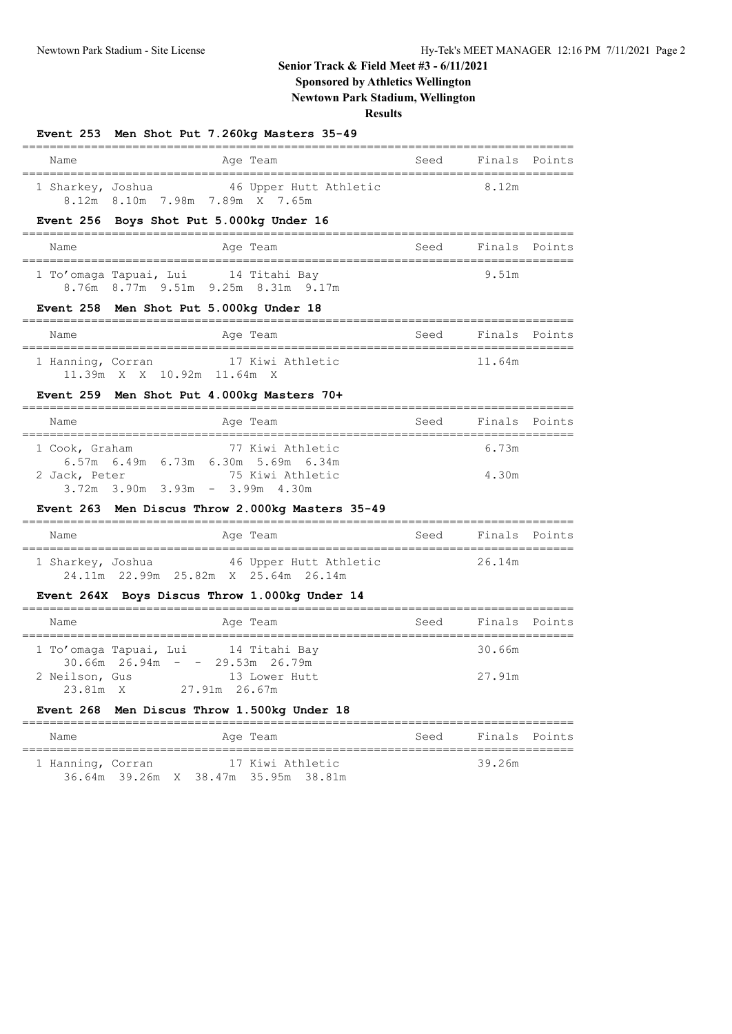### **Senior Track & Field Meet #3 - 6/11/2021**

### **Sponsored by Athletics Wellington**

**Newtown Park Stadium, Wellington**

**Results**

| Name                | Age Team                                                                         |                        | Seed Finals Points |               |
|---------------------|----------------------------------------------------------------------------------|------------------------|--------------------|---------------|
|                     | 1 Sharkey, Joshua 46 Upper Hutt Athletic                                         |                        | 8.12m              |               |
|                     | 8.12m 8.10m 7.98m 7.89m X 7.65m                                                  |                        |                    |               |
|                     | Event 256 Boys Shot Put 5.000kg Under 16                                         |                        |                    |               |
| Name                | Age Team                                                                         | Seed Finals Points     |                    |               |
|                     | 1 To'omaga Tapuai, Lui 14 Titahi Bay<br>8.76m 8.77m 9.51m 9.25m 8.31m 9.17m      |                        | 9.51m              |               |
| =================== | Event 258 Men Shot Put 5.000kg Under 18<br>=============                         |                        |                    |               |
| Name                | Age Team                                                                         | Seed                   | Finals Points      |               |
|                     | 1 Hanning, Corran 17 Kiwi Athletic                                               |                        | 11.64m             |               |
|                     | 11.39m X X 10.92m 11.64m X                                                       |                        |                    |               |
|                     | Event 259 Men Shot Put 4.000kg Masters 70+<br>----------                         | ====================== |                    |               |
| Name                | Age Team                                                                         | Seed                   | Finals Points      |               |
| 1 Cook, Graham      | 77 Kiwi Athletic                                                                 |                        | 6.73m              |               |
| 2 Jack, Peter       | 6.57m 6.49m 6.73m 6.30m 5.69m 6.34m<br>75 Kiwi Athletic                          |                        | 4.30m              |               |
|                     | 3.72m 3.90m 3.93m - 3.99m 4.30m                                                  |                        |                    |               |
|                     | Event 263 Men Discus Throw 2.000kg Masters 35-49                                 |                        |                    |               |
| Name                | Age Team                                                                         | Seed                   | Finals Points      |               |
|                     | 1 Sharkey, Joshua 46 Upper Hutt Athletic<br>24.11m 22.99m 25.82m X 25.64m 26.14m |                        | 26.14m             |               |
|                     | Event 264X Boys Discus Throw 1.000kg Under 14                                    |                        |                    |               |
| Name                | Age Team                                                                         | Seed                   |                    | Finals Points |
|                     | 1 To'omaga Tapuai, Lui 14 Titahi Bay                                             |                        | 30.66m             |               |
|                     | $30.66m$ 26.94m - - 29.53m 26.79m<br>2 Neilson, Gus 13 Lower Hutt                |                        | 27.91m             |               |
| 23.81m X            | 27.91m 26.67m                                                                    |                        |                    |               |
| Event 268           | Men Discus Throw 1.500kg Under 18                                                |                        |                    |               |
| Name                | Age Team                                                                         | Seed                   |                    | Finals Points |
| 1 Hanning, Corran   | 17 Kiwi Athletic<br>36.64m 39.26m X 38.47m 35.95m 38.81m                         |                        | 39.26m             |               |
|                     |                                                                                  |                        |                    |               |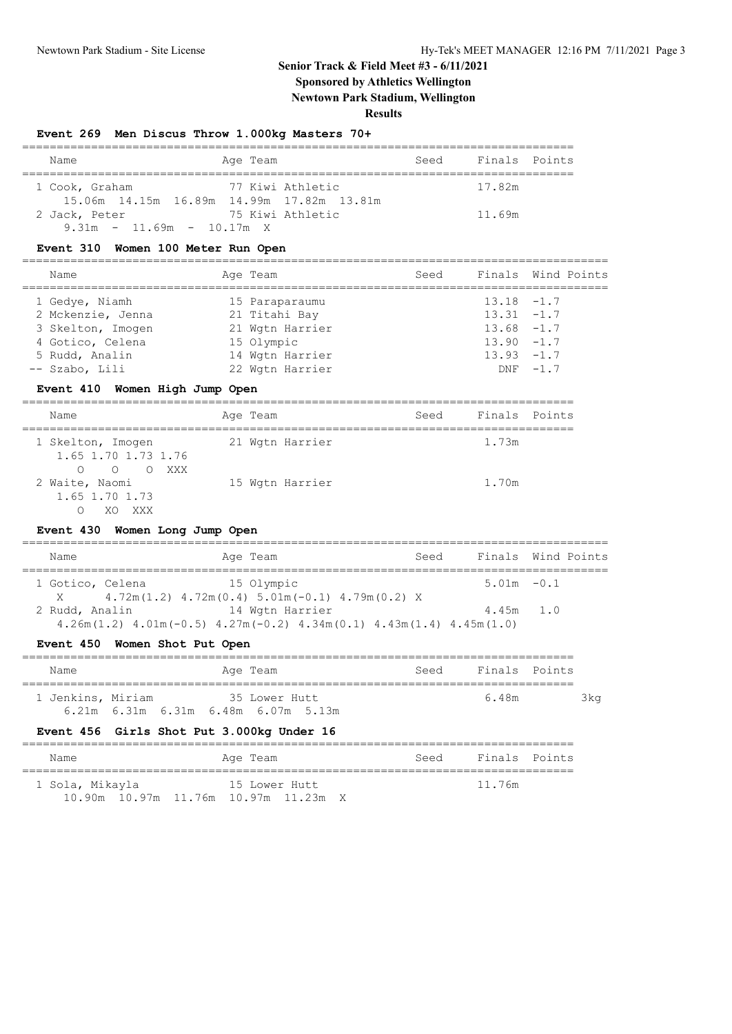### **Senior Track & Field Meet #3 - 6/11/2021 Sponsored by Athletics Wellington**

**Newtown Park Stadium, Wellington**

#### **Results**

|                                                                              | Event 269 Men Discus Throw 1.000kg Masters 70+                                  |      |               |                    |
|------------------------------------------------------------------------------|---------------------------------------------------------------------------------|------|---------------|--------------------|
| Name                                                                         | Age Team                                                                        | Seed | Finals        | Points             |
| 1 Cook, Graham                                                               | 77 Kiwi Athletic<br>15.06m  14.15m  16.89m  14.99m  17.82m  13.81m              |      | 17.82m        |                    |
| 2 Jack, Peter<br>$9.31m - 11.69m - 10.17m X$                                 | 75 Kiwi Athletic                                                                |      | 11.69m        |                    |
| Event 310 Women 100 Meter Run Open                                           |                                                                                 |      |               |                    |
| Name                                                                         | Age Team                                                                        | Seed | Finals        | Wind Points        |
| 1 Gedye, Niamh                                                               | 15 Paraparaumu                                                                  |      | 13.18         | $-1.7$             |
| 2 Mckenzie, Jenna                                                            | 21 Titahi Bay                                                                   |      | $13.31 - 1.7$ |                    |
| 3 Skelton, Imogen                                                            | 21 Wgtn Harrier                                                                 |      | $13.68 - 1.7$ |                    |
| 4 Gotico, Celena                                                             | 15 Olympic                                                                      |      | $13.90 - 1.7$ |                    |
| 5 Rudd, Analin                                                               | 14 Wgtn Harrier                                                                 |      | $13.93 - 1.7$ |                    |
| -- Szabo, Lili                                                               | 22 Wgtn Harrier                                                                 |      | DNF           | $-1.7$             |
| Event 410 Women High Jump Open                                               |                                                                                 |      |               |                    |
| Name<br>=============================                                        | Age Team                                                                        | Seed | Finals Points |                    |
| 1 Skelton, Imogen<br>1.65 1.70 1.73 1.76                                     | 21 Wgtn Harrier                                                                 |      | 1.73m         |                    |
| $\Omega$<br>$\circ$<br>O XXX<br>2 Waite, Naomi<br>1.65 1.70 1.73<br>O XO XXX | 15 Wgtn Harrier                                                                 |      | 1.70m         |                    |
| Event 430 Women Long Jump Open                                               | ============                                                                    |      |               |                    |
| Name<br>,,,,,,,,,,,,,,,,,,,,,,,,,                                            | Age Team                                                                        | Seed |               | Finals Wind Points |
| 1 Gotico, Celena                                                             | 15 Olympic                                                                      |      | $5.01m - 0.1$ |                    |
| X<br>2 Rudd, Analin                                                          | $4.72m(1.2)$ $4.72m(0.4)$ $5.01m(-0.1)$ $4.79m(0.2)$ X<br>14 Wgtn Harrier       |      | 4.45m         | 1.0                |
|                                                                              | $4.26m(1.2)$ $4.01m(-0.5)$ $4.27m(-0.2)$ $4.34m(0.1)$ $4.43m(1.4)$ $4.45m(1.0)$ |      |               |                    |
| Event 450 Women Shot Put Open                                                |                                                                                 |      |               |                    |
| Name                                                                         | Age Team                                                                        | Seed |               | Finals Points      |
| 1 Jenkins, Miriam                                                            | 35 Lower Hutt<br>6.21m 6.31m 6.31m 6.48m 6.07m 5.13m                            |      | 6.48m         | 3kg                |
| <b>Event 456</b>                                                             | Girls Shot Put 3.000kg Under 16                                                 |      |               |                    |
| Name<br>============                                                         | Age Team                                                                        | Seed | Finals        | Points             |
| 1 Sola, Mikayla                                                              | 15 Lower Hutt                                                                   |      | 11.76m        |                    |

10.90m 10.97m 11.76m 10.97m 11.23m X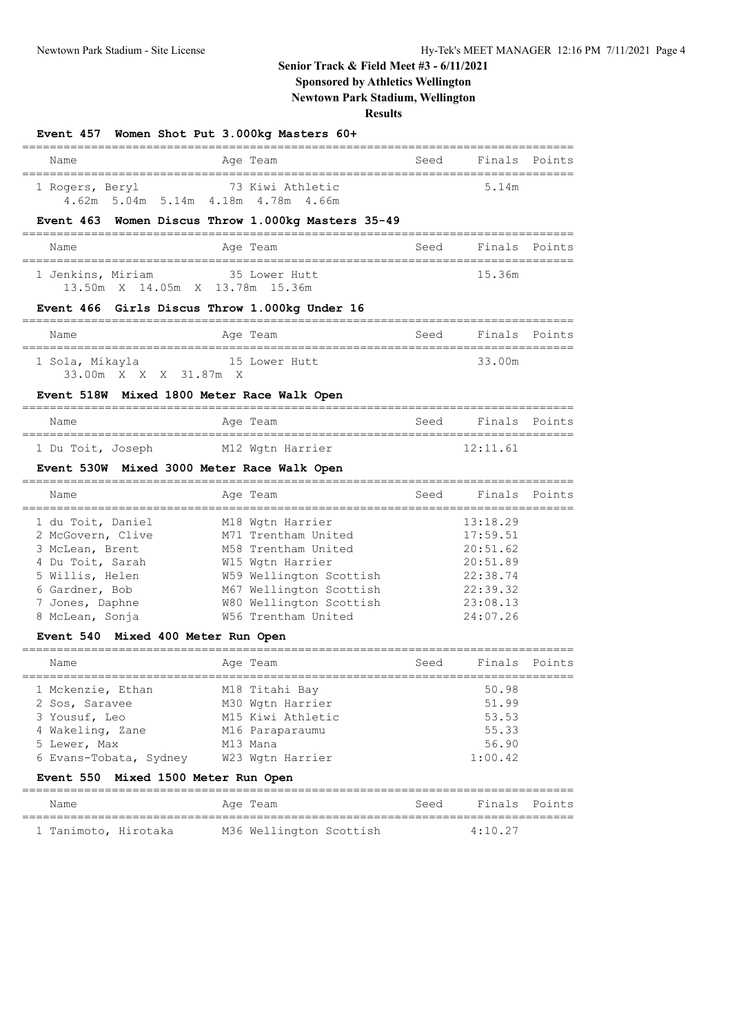### **Senior Track & Field Meet #3 - 6/11/2021**

## **Sponsored by Athletics Wellington**

**Newtown Park Stadium, Wellington**

**Results**

|                                                                                                                                                                                                | Event 457 Women Shot Put 3.000kg Masters 60+                                                                                                                                               |      |                                                                                              |                                 |
|------------------------------------------------------------------------------------------------------------------------------------------------------------------------------------------------|--------------------------------------------------------------------------------------------------------------------------------------------------------------------------------------------|------|----------------------------------------------------------------------------------------------|---------------------------------|
| Name                                                                                                                                                                                           | Age Team                                                                                                                                                                                   | Seed |                                                                                              | Finals Points                   |
| 1 Rogers, Beryl                                                                                                                                                                                | 73 Kiwi Athletic<br>4.62m 5.04m 5.14m 4.18m 4.78m 4.66m                                                                                                                                    |      | 5.14m                                                                                        |                                 |
|                                                                                                                                                                                                | Event 463 Women Discus Throw 1.000kg Masters 35-49                                                                                                                                         |      |                                                                                              |                                 |
| Name                                                                                                                                                                                           | Age Team                                                                                                                                                                                   | Seed |                                                                                              | Finals Points                   |
| 1 Jenkins, Miriam<br>13.50m X 14.05m X 13.78m 15.36m                                                                                                                                           | 35 Lower Hutt                                                                                                                                                                              |      | 15.36m                                                                                       |                                 |
|                                                                                                                                                                                                | Event 466 Girls Discus Throw 1.000kg Under 16                                                                                                                                              |      |                                                                                              |                                 |
| Name                                                                                                                                                                                           | Age Team                                                                                                                                                                                   | Seed | Finals Points                                                                                |                                 |
| =================================<br>1 Sola, Mikayla<br>33.00m X X X 31.87m X                                                                                                                  | 15 Lower Hutt                                                                                                                                                                              |      | 33.00m                                                                                       |                                 |
| Event 518W Mixed 1800 Meter Race Walk Open                                                                                                                                                     |                                                                                                                                                                                            |      |                                                                                              |                                 |
| Name                                                                                                                                                                                           | Age Team                                                                                                                                                                                   | Seed |                                                                                              | ==============<br>Finals Points |
| ===================================<br>1 Du Toit, Joseph M12 Wgtn Harrier                                                                                                                      |                                                                                                                                                                                            |      | 12:11.61                                                                                     |                                 |
| Event 530W Mixed 3000 Meter Race Walk Open                                                                                                                                                     |                                                                                                                                                                                            |      |                                                                                              |                                 |
| Name                                                                                                                                                                                           | Age Team                                                                                                                                                                                   | Seed | Finals                                                                                       | Points                          |
| 1 du Toit, Daniel<br>2 McGovern, Clive<br>3 McLean, Brent<br>4 Du Toit, Sarah<br>5 Willis, Helen<br>6 Gardner, Bob<br>7 Jones, Daphne<br>8 McLean, Sonja<br>Event 540 Mixed 400 Meter Run Open | M18 Wgtn Harrier<br>M71 Trentham United<br>M58 Trentham United<br>W15 Wgtn Harrier<br>W59 Wellington Scottish<br>M67 Wellington Scottish<br>W80 Wellington Scottish<br>W56 Trentham United |      | 13:18.29<br>17:59.51<br>20:51.62<br>20:51.89<br>22:38.74<br>22:39.32<br>23:08.13<br>24:07.26 |                                 |
| Name                                                                                                                                                                                           | Age Team                                                                                                                                                                                   | Seed |                                                                                              | Finals Points                   |
| 1 Mckenzie, Ethan<br>2 Sos, Saravee<br>3 Yousuf, Leo<br>4 Wakeling, Zane<br>5 Lewer, Max<br>6 Evans-Tobata, Sydney<br><b>Event 550</b>                                                         | M18 Titahi Bay<br>M30 Wgtn Harrier<br>M15 Kiwi Athletic<br>M16 Paraparaumu<br>M13 Mana<br>W23 Wgtn Harrier<br>Mixed 1500 Meter Run Open                                                    |      | 50.98<br>51.99<br>53.53<br>55.33<br>56.90<br>1:00.42                                         |                                 |
| Name                                                                                                                                                                                           | _____________________________________<br>Aqe Team                                                                                                                                          | Seed | Finals                                                                                       | Points                          |
| 1 Tanimoto, Hirotaka                                                                                                                                                                           | M36 Wellington Scottish                                                                                                                                                                    |      | =============================<br>4:10.27                                                     |                                 |